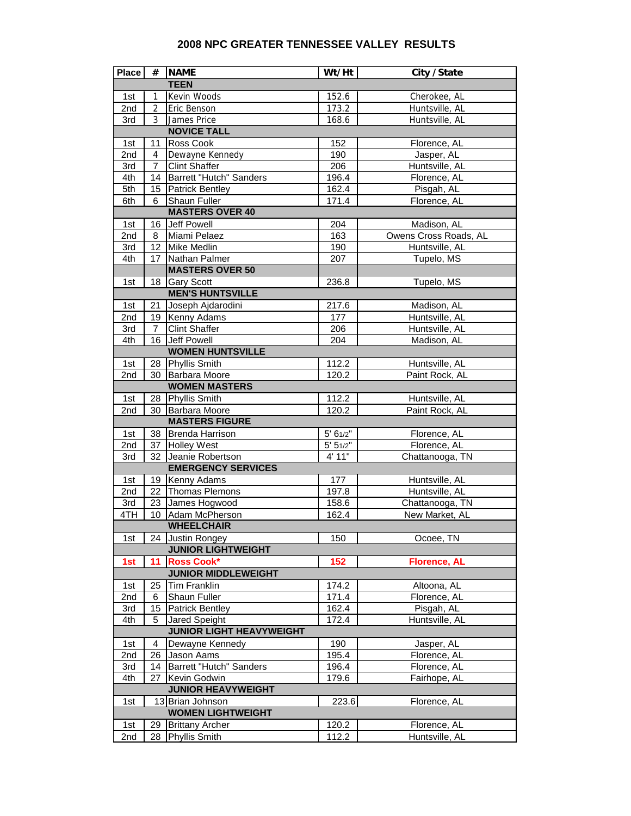## **2008 NPC GREATER TENNESSEE VALLEY RESULTS**

| <b>Place</b>                    | #              | <b>NAME</b>                | Wt/Ht    | City / State          |  |  |  |
|---------------------------------|----------------|----------------------------|----------|-----------------------|--|--|--|
|                                 |                | <b>TEEN</b>                |          |                       |  |  |  |
| 1st                             | 1              | Kevin Woods                | 152.6    | Cherokee, AL          |  |  |  |
| 2nd                             | 2              | Eric Benson                | 173.2    | Huntsville, AL        |  |  |  |
| 3rd                             | 3              | James Price                | 168.6    | Huntsville, AL        |  |  |  |
| <b>NOVICE TALL</b>              |                |                            |          |                       |  |  |  |
| 1st                             | 11             | Ross Cook                  | 152      | Florence, AL          |  |  |  |
| 2nd                             | $\overline{4}$ | Dewayne Kennedy            | 190      | Jasper, AL            |  |  |  |
| 3rd                             | 7              | <b>Clint Shaffer</b>       | 206      | Huntsville, AL        |  |  |  |
| 4th                             | 14             | Barrett "Hutch" Sanders    | 196.4    | Florence, AL          |  |  |  |
| 5th                             | 15             | Patrick Bentley            | 162.4    | Pisgah, AL            |  |  |  |
| 6th                             | 6              | Shaun Fuller               | 171.4    | Florence, AL          |  |  |  |
| <b>MASTERS OVER 40</b>          |                |                            |          |                       |  |  |  |
| 1st                             | 16             | Jeff Powell                | 204      | Madison, AL           |  |  |  |
| 2nd                             | 8              | Miami Pelaez               | 163      | Owens Cross Roads, AL |  |  |  |
| 3rd                             |                | 12 Mike Medlin             | 190      | Huntsville, AL        |  |  |  |
| 4th                             | 17             | Nathan Palmer              | 207      | Tupelo, MS            |  |  |  |
|                                 |                | <b>MASTERS OVER 50</b>     |          |                       |  |  |  |
| 1st                             | 18             | <b>Gary Scott</b>          | 236.8    | Tupelo, MS            |  |  |  |
|                                 |                | <b>MEN'S HUNTSVILLE</b>    |          |                       |  |  |  |
| 1st                             | 21             | Joseph Ajdarodini          | 217.6    | Madison, AL           |  |  |  |
| 2nd                             | 19             | Kenny Adams                | 177      | Huntsville, AL        |  |  |  |
| 3rd                             | 7              | <b>Clint Shaffer</b>       | 206      | Huntsville, AL        |  |  |  |
| 4th                             | 16             | Jeff Powell                | 204      | Madison, AL           |  |  |  |
|                                 |                | <b>WOMEN HUNTSVILLE</b>    |          |                       |  |  |  |
| 1st                             |                | 28 Phyllis Smith           | 112.2    | Huntsville, AL        |  |  |  |
| 2nd                             | 30             | Barbara Moore              | 120.2    | Paint Rock, AL        |  |  |  |
|                                 |                | <b>WOMEN MASTERS</b>       |          |                       |  |  |  |
| 1st                             |                | 28 Phyllis Smith           | 112.2    | Huntsville, AL        |  |  |  |
| 2nd                             |                | 30 Barbara Moore           | 120.2    | Paint Rock, AL        |  |  |  |
| <b>MASTERS FIGURE</b>           |                |                            |          |                       |  |  |  |
| 1st                             | 38             | <b>Brenda Harrison</b>     | 5' 61/2" | Florence, AL          |  |  |  |
| 2nd                             | 37             | <b>Holley West</b>         | 5' 51/2" | Florence, AL          |  |  |  |
| 3rd                             | 32             | Jeanie Robertson           | 4' 11"   | Chattanooga, TN       |  |  |  |
| <b>EMERGENCY SERVICES</b>       |                |                            |          |                       |  |  |  |
| 1st                             |                | 19 Kenny Adams             | 177      | Huntsville, AL        |  |  |  |
| 2nd                             |                | 22 Thomas Plemons          | 197.8    | Huntsville, AL        |  |  |  |
| 3rd                             |                | 23 James Hogwood           | 158.6    | Chattanooga, TN       |  |  |  |
| 4TH                             | 10             | Adam McPherson             | 162.4    | New Market, AL        |  |  |  |
|                                 |                | <b>WHEELCHAIR</b>          |          |                       |  |  |  |
| 1st                             | 24             | Justin Rongey              | 150      | Ocoee, TN             |  |  |  |
|                                 |                | <b>JUNIOR LIGHTWEIGHT</b>  |          |                       |  |  |  |
| 1st                             | 11             | <b>Ross Cook*</b>          | 152      | <b>Florence, AL</b>   |  |  |  |
|                                 |                | <b>JUNIOR MIDDLEWEIGHT</b> |          |                       |  |  |  |
| 1st                             | 25             | Tim Franklin               | 174.2    | Altoona, AL           |  |  |  |
| 2nd                             | 6              | Shaun Fuller               | 171.4    | Florence, AL          |  |  |  |
| 3rd                             | 15             | <b>Patrick Bentley</b>     | 162.4    | Pisgah, AL            |  |  |  |
| 4th                             | 5              | Jared Speight              | 172.4    | Huntsville, AL        |  |  |  |
| <b>JUNIOR LIGHT HEAVYWEIGHT</b> |                |                            |          |                       |  |  |  |
| 1st                             | 4              | Dewayne Kennedy            | 190      | Jasper, AL            |  |  |  |
| 2nd                             | 26             | Jason Aams                 | 195.4    | Florence, AL          |  |  |  |
| 3rd                             | 14             | Barrett "Hutch" Sanders    | 196.4    | Florence, AL          |  |  |  |
| 4th                             | 27             | Kevin Godwin               | 179.6    | Fairhope, AL          |  |  |  |
|                                 |                | <b>JUNIOR HEAVYWEIGHT</b>  |          |                       |  |  |  |
| 1st                             |                | 13 Brian Johnson           | 223.6    | Florence, AL          |  |  |  |
|                                 |                | <b>WOMEN LIGHTWEIGHT</b>   |          |                       |  |  |  |
| 1st                             | 29             | <b>Brittany Archer</b>     | 120.2    | Florence, AL          |  |  |  |
| 2nd                             | 28             | Phyllis Smith              | 112.2    | Huntsville, AL        |  |  |  |